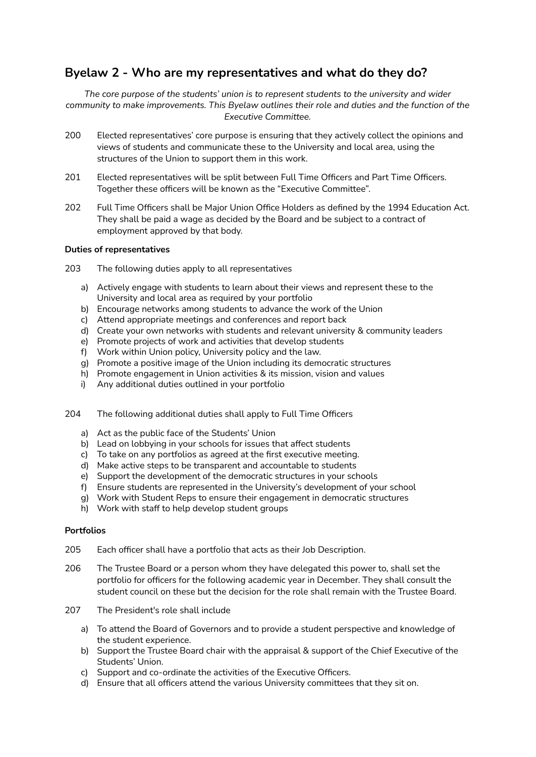# **Byelaw 2 - Who are my representatives and what do they do?**

*The core purpose of the students' union is to represent students to the university and wider community to make improvements. This Byelaw outlines their role and duties and the function of the Executive Committee.*

- 200 Elected representatives' core purpose is ensuring that they actively collect the opinions and views of students and communicate these to the University and local area, using the structures of the Union to support them in this work.
- 201 Elected representatives will be split between Full Time Officers and Part Time Officers. Together these officers will be known as the "Executive Committee".
- 202 Full Time Officers shall be Major Union Office Holders as defined by the 1994 Education Act. They shall be paid a wage as decided by the Board and be subject to a contract of employment approved by that body.

## **Duties of representatives**

- 203 The following duties apply to all representatives
	- a) Actively engage with students to learn about their views and represent these to the University and local area as required by your portfolio
	- b) Encourage networks among students to advance the work of the Union
	- c) Attend appropriate meetings and conferences and report back
	- d) Create your own networks with students and relevant university & community leaders
	- e) Promote projects of work and activities that develop students
	- f) Work within Union policy, University policy and the law.
	- g) Promote a positive image of the Union including its democratic structures
	- h) Promote engagement in Union activities & its mission, vision and values
	- i) Any additional duties outlined in your portfolio
- 204 The following additional duties shall apply to Full Time Officers
	- a) Act as the public face of the Students' Union
	- b) Lead on lobbying in your schools for issues that affect students
	- c) To take on any portfolios as agreed at the first executive meeting.
	- d) Make active steps to be transparent and accountable to students
	- e) Support the development of the democratic structures in your schools
	- f) Ensure students are represented in the University's development of your school
	- g) Work with Student Reps to ensure their engagement in democratic structures
	- h) Work with staff to help develop student groups

# **Portfolios**

- 205 Each officer shall have a portfolio that acts as their Job Description.
- 206 The Trustee Board or a person whom they have delegated this power to, shall set the portfolio for officers for the following academic year in December. They shall consult the student council on these but the decision for the role shall remain with the Trustee Board.
- 207 The President's role shall include
	- a) To attend the Board of Governors and to provide a student perspective and knowledge of the student experience.
	- b) Support the Trustee Board chair with the appraisal & support of the Chief Executive of the Students' Union.
	- c) Support and co‐ordinate the activities of the Executive Officers.
	- d) Ensure that all officers attend the various University committees that they sit on.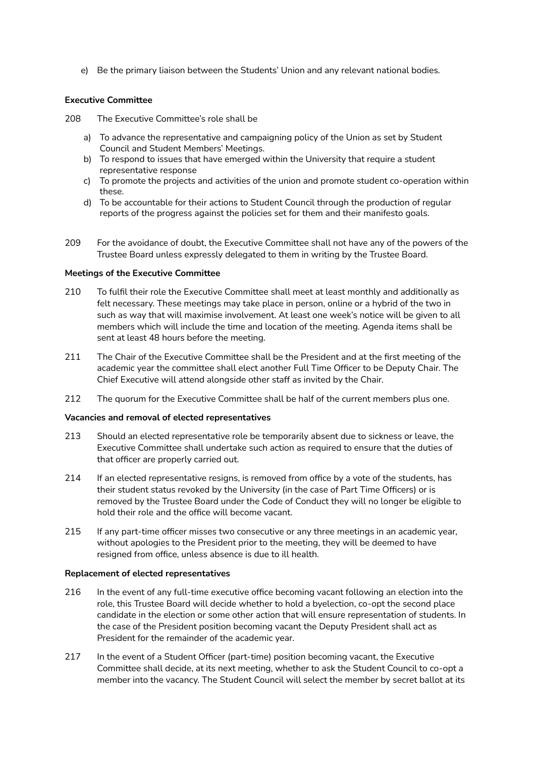e) Be the primary liaison between the Students' Union and any relevant national bodies.

# **Executive Committee**

208 The Executive Committee's role shall be

- a) To advance the representative and campaigning policy of the Union as set by Student Council and Student Members' Meetings.
- b) To respond to issues that have emerged within the University that require a student representative response
- c) To promote the projects and activities of the union and promote student co-operation within these.
- d) To be accountable for their actions to Student Council through the production of regular reports of the progress against the policies set for them and their manifesto goals.
- 209 For the avoidance of doubt, the Executive Committee shall not have any of the powers of the Trustee Board unless expressly delegated to them in writing by the Trustee Board.

## **Meetings of the Executive Committee**

- 210 To fulfil their role the Executive Committee shall meet at least monthly and additionally as felt necessary. These meetings may take place in person, online or a hybrid of the two in such as way that will maximise involvement. At least one week's notice will be given to all members which will include the time and location of the meeting. Agenda items shall be sent at least 48 hours before the meeting.
- 211 The Chair of the Executive Committee shall be the President and at the first meeting of the academic year the committee shall elect another Full Time Officer to be Deputy Chair. The Chief Executive will attend alongside other staff as invited by the Chair.
- 212 The quorum for the Executive Committee shall be half of the current members plus one.

### **Vacancies and removal of elected representatives**

- 213 Should an elected representative role be temporarily absent due to sickness or leave, the Executive Committee shall undertake such action as required to ensure that the duties of that officer are properly carried out.
- 214 If an elected representative resigns, is removed from office by a vote of the students, has their student status revoked by the University (in the case of Part Time Officers) or is removed by the Trustee Board under the Code of Conduct they will no longer be eligible to hold their role and the office will become vacant.
- 215 If any part-time officer misses two consecutive or any three meetings in an academic year, without apologies to the President prior to the meeting, they will be deemed to have resigned from office, unless absence is due to ill health.

### **Replacement of elected representatives**

- 216 In the event of any full-time executive office becoming vacant following an election into the role, this Trustee Board will decide whether to hold a byelection, co-opt the second place candidate in the election or some other action that will ensure representation of students. In the case of the President position becoming vacant the Deputy President shall act as President for the remainder of the academic year.
- 217 In the event of a Student Officer (part-time) position becoming vacant, the Executive Committee shall decide, at its next meeting, whether to ask the Student Council to co-opt a member into the vacancy. The Student Council will select the member by secret ballot at its